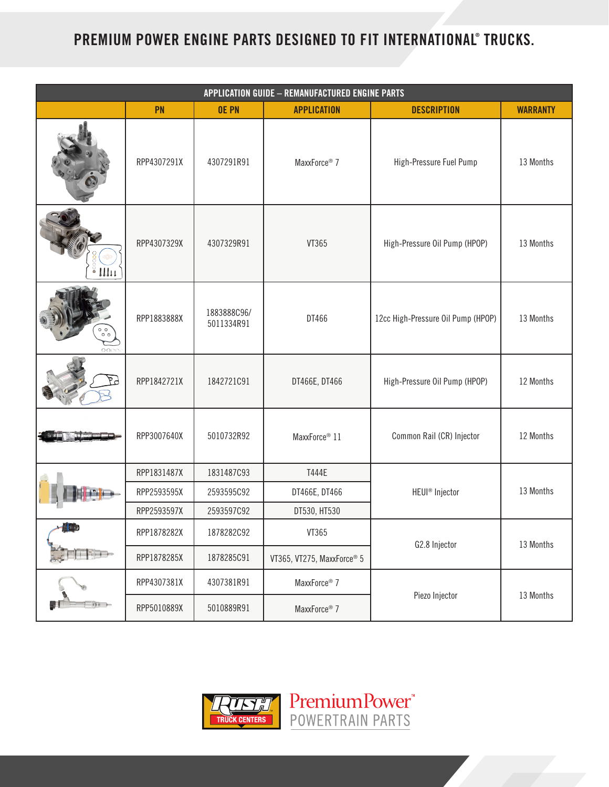## **PREMIUM POWER ENGINE PARTS DESIGNED TO FIT INTERNATIONAL® TRUCKS.**

| <b>APPLICATION GUIDE - REMANUFACTURED ENGINE PARTS</b> |             |                           |                            |                                    |                 |  |  |
|--------------------------------------------------------|-------------|---------------------------|----------------------------|------------------------------------|-----------------|--|--|
|                                                        | PN          | <b>OE PN</b>              | <b>APPLICATION</b>         | <b>DESCRIPTION</b>                 | <b>WARRANTY</b> |  |  |
|                                                        | RPP4307291X | 4307291R91                | MaxxForce® 7               | High-Pressure Fuel Pump            | 13 Months       |  |  |
| $\frac{1}{2}$ $\prod_{i=1}^{n}$                        | RPP4307329X | 4307329R91                | VT365                      | High-Pressure Oil Pump (HPOP)      | 13 Months       |  |  |
| $\circ$ $\circ$<br>0000                                | RPP1883888X | 1883888C96/<br>5011334R91 | DT466                      | 12cc High-Pressure Oil Pump (HPOP) | 13 Months       |  |  |
|                                                        | RPP1842721X | 1842721C91                | DT466E, DT466              | High-Pressure Oil Pump (HPOP)      | 12 Months       |  |  |
|                                                        | RPP3007640X | 5010732R92                | MaxxForce <sup>®</sup> 11  | Common Rail (CR) Injector          | 12 Months       |  |  |
|                                                        | RPP1831487X | 1831487C93                | T444E                      |                                    |                 |  |  |
|                                                        | RPP2593595X | 2593595C92                | DT466E, DT466              | HEUI® Injector                     | 13 Months       |  |  |
|                                                        | RPP2593597X | 2593597C92                | DT530, HT530               |                                    |                 |  |  |
| a Maria                                                | RPP1878282X | 1878282C92                | VT365                      | G2.8 Injector                      | 13 Months       |  |  |
|                                                        | RPP1878285X | 1878285C91                | VT365, VT275, MaxxForce® 5 |                                    |                 |  |  |
| $0+$                                                   | RPP4307381X | 4307381R91                | MaxxForce <sup>®</sup> 7   | Piezo Injector                     | 13 Months       |  |  |
|                                                        | RPP5010889X | 5010889R91                | MaxxForce <sup>®</sup> 7   |                                    |                 |  |  |



PremiumPower<sup>\*</sup>

POWERTRAIN PARTS